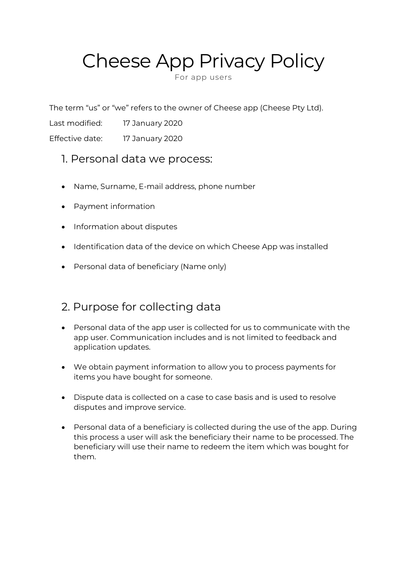# Cheese App Privacy Policy

For app users

The term "us" or "we" refers to the owner of Cheese app (Cheese Pty Ltd).

Last modified: 17 January 2020

Effective date: 17 January 2020

- 1. Personal data we process:
- Name, Surname, E-mail address, phone number
- Payment information
- Information about disputes
- Identification data of the device on which Cheese App was installed
- Personal data of beneficiary (Name only)

#### 2. Purpose for collecting data

- Personal data of the app user is collected for us to communicate with the app user. Communication includes and is not limited to feedback and application updates.
- We obtain payment information to allow you to process payments for items you have bought for someone.
- Dispute data is collected on a case to case basis and is used to resolve disputes and improve service.
- Personal data of a beneficiary is collected during the use of the app. During this process a user will ask the beneficiary their name to be processed. The beneficiary will use their name to redeem the item which was bought for them.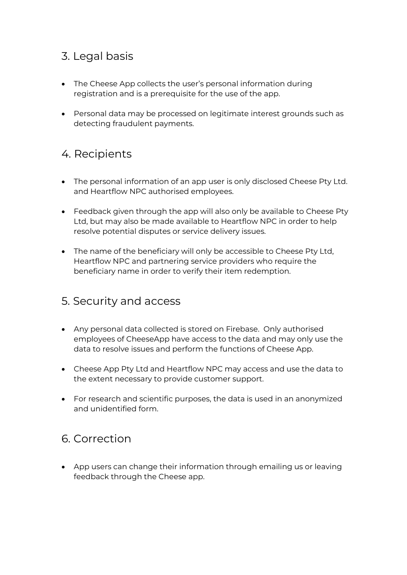#### 3. Legal basis

- The Cheese App collects the user's personal information during registration and is a prerequisite for the use of the app.
- Personal data may be processed on legitimate interest grounds such as detecting fraudulent payments.

## 4. Recipients

- The personal information of an app user is only disclosed Cheese Pty Ltd. and Heartflow NPC authorised employees.
- Feedback given through the app will also only be available to Cheese Pty Ltd, but may also be made available to Heartflow NPC in order to help resolve potential disputes or service delivery issues.
- The name of the beneficiary will only be accessible to Cheese Pty Ltd, Heartflow NPC and partnering service providers who require the beneficiary name in order to verify their item redemption.

#### 5. Security and access

- Any personal data collected is stored on Firebase. Only authorised employees of CheeseApp have access to the data and may only use the data to resolve issues and perform the functions of Cheese App.
- Cheese App Pty Ltd and Heartflow NPC may access and use the data to the extent necessary to provide customer support.
- For research and scientific purposes, the data is used in an anonymized and unidentified form.

## 6. Correction

• App users can change their information through emailing us or leaving feedback through the Cheese app.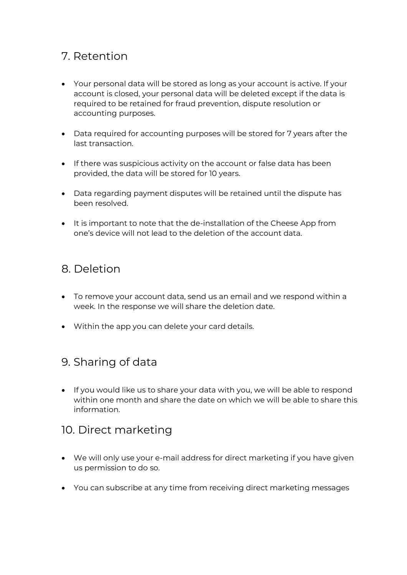#### 7. Retention

- Your personal data will be stored as long as your account is active. If your account is closed, your personal data will be deleted except if the data is required to be retained for fraud prevention, dispute resolution or accounting purposes.
- Data required for accounting purposes will be stored for 7 years after the last transaction.
- If there was suspicious activity on the account or false data has been provided, the data will be stored for 10 years.
- Data regarding payment disputes will be retained until the dispute has been resolved.
- It is important to note that the de-installation of the Cheese App from one's device will not lead to the deletion of the account data.

#### 8. Deletion

- To remove your account data, send us an email and we respond within a week. In the response we will share the deletion date.
- Within the app you can delete your card details.

## 9. Sharing of data

• If you would like us to share your data with you, we will be able to respond within one month and share the date on which we will be able to share this information.

#### 10. Direct marketing

- We will only use your e-mail address for direct marketing if you have given us permission to do so.
- You can subscribe at any time from receiving direct marketing messages